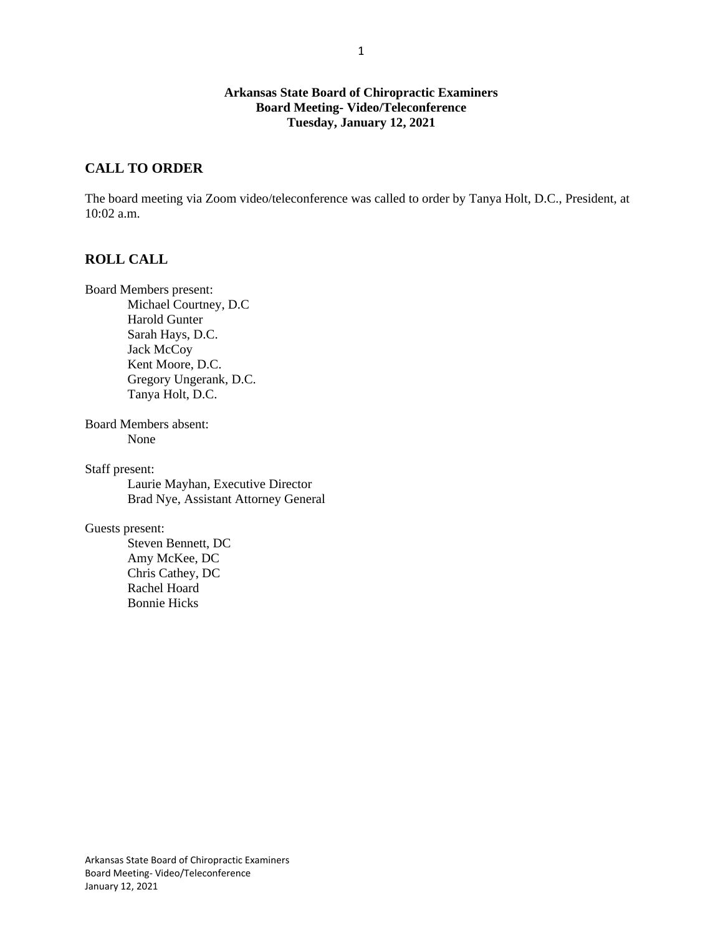### **Arkansas State Board of Chiropractic Examiners Board Meeting- Video/Teleconference Tuesday, January 12, 2021**

## **CALL TO ORDER**

The board meeting via Zoom video/teleconference was called to order by Tanya Holt, D.C., President, at 10:02 a.m.

## **ROLL CALL**

Board Members present: Michael Courtney, D.C Harold Gunter Sarah Hays, D.C. Jack McCoy Kent Moore, D.C. Gregory Ungerank, D.C. Tanya Holt, D.C.

Board Members absent: None

Staff present:

Laurie Mayhan, Executive Director Brad Nye, Assistant Attorney General

Guests present:

Steven Bennett, DC Amy McKee, DC Chris Cathey, DC Rachel Hoard Bonnie Hicks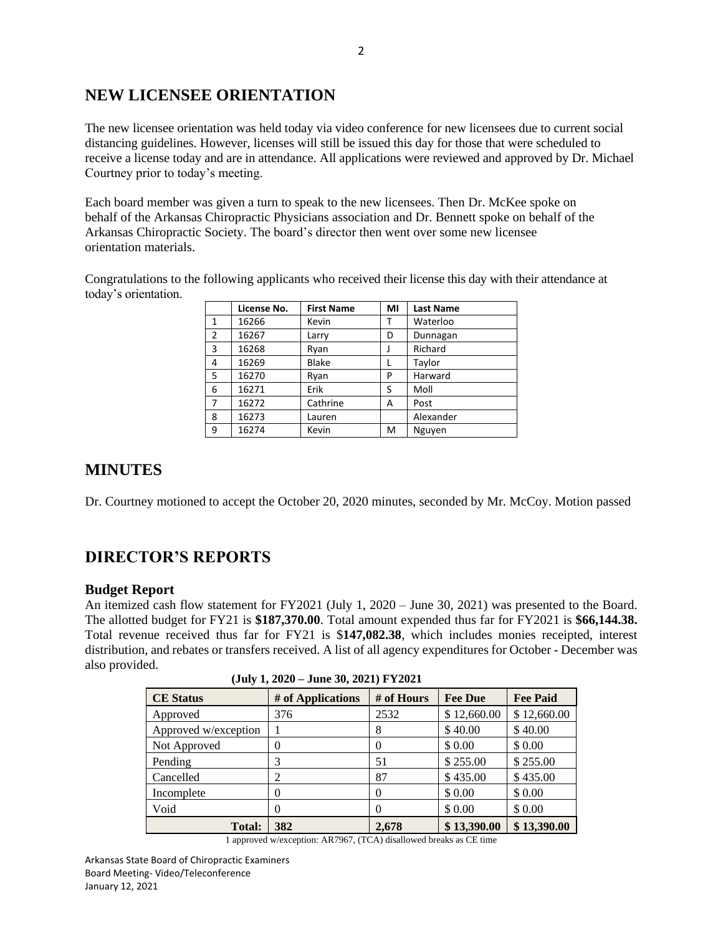# **NEW LICENSEE ORIENTATION**

The new licensee orientation was held today via video conference for new licensees due to current social distancing guidelines. However, licenses will still be issued this day for those that were scheduled to receive a license today and are in attendance. All applications were reviewed and approved by Dr. Michael Courtney prior to today's meeting.

Each board member was given a turn to speak to the new licensees. Then Dr. McKee spoke on behalf of the Arkansas Chiropractic Physicians association and Dr. Bennett spoke on behalf of the Arkansas Chiropractic Society. The board's director then went over some new licensee orientation materials.

Congratulations to the following applicants who received their license this day with their attendance at today's orientation.

|                | License No. | <b>First Name</b> | MI | <b>Last Name</b> |
|----------------|-------------|-------------------|----|------------------|
| $\mathbf{1}$   | 16266       | Kevin             |    | Waterloo         |
| $\overline{2}$ | 16267       | Larry             | D  | Dunnagan         |
| $\overline{3}$ | 16268       | Ryan              |    | Richard          |
| 4              | 16269       | <b>Blake</b>      | L  | Taylor           |
| -5             | 16270       | Ryan              | P  | Harward          |
| 6              | 16271       | Erik              | S  | Moll             |
| $\overline{7}$ | 16272       | Cathrine          | А  | Post             |
| 8              | 16273       | Lauren            |    | Alexander        |
| 9              | 16274       | Kevin             | M  | Nguyen           |

# **MINUTES**

Dr. Courtney motioned to accept the October 20, 2020 minutes, seconded by Mr. McCoy. Motion passed

# **DIRECTOR'S REPORTS**

## **Budget Report**

An itemized cash flow statement for FY2021 (July 1, 2020 – June 30, 2021) was presented to the Board. The allotted budget for FY21 is **\$187,370.00**. Total amount expended thus far for FY2021 is **\$66,144.38.**  Total revenue received thus far for FY21 is \$**147,082.38**, which includes monies receipted, interest distribution, and rebates or transfers received. A list of all agency expenditures for October - December was also provided.

| <b>CE</b> Status     | # of Applications | # of Hours | <b>Fee Due</b> | <b>Fee Paid</b> |  |
|----------------------|-------------------|------------|----------------|-----------------|--|
| Approved             | 376               | 2532       | \$12,660.00    | \$12,660.00     |  |
| Approved w/exception |                   | 8          | \$40.00        | \$40.00         |  |
| Not Approved         | 0                 | 0          | \$ 0.00        | \$ 0.00         |  |
| Pending              | 3                 | 51         | \$255.00       | \$255.00        |  |
| Cancelled            | 2                 | 87         | \$435.00       | \$435.00        |  |
| Incomplete           | $\theta$          | 0          | \$ 0.00        | \$ 0.00         |  |
| Void                 | 0                 | 0          | \$ 0.00        | \$0.00          |  |
| <b>Total:</b>        | 382               | 2.678      | \$13,390.00    | \$13,390.00     |  |

**(July 1, 2020 – June 30, 2021) FY2021**

1 approved w/exception: AR7967, (TCA) disallowed breaks as CE time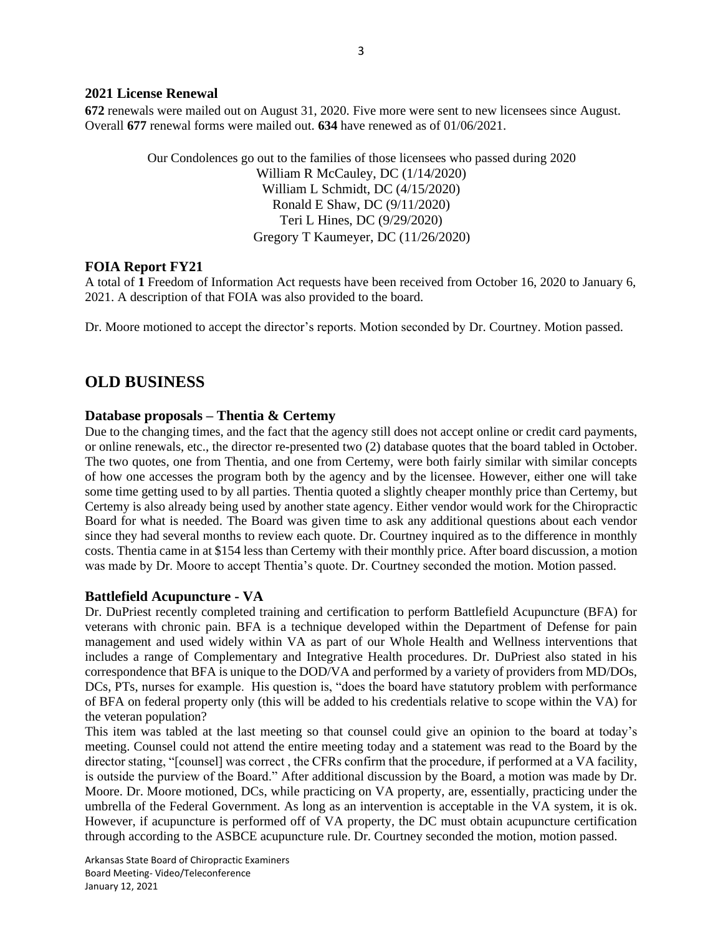#### **2021 License Renewal**

**672** renewals were mailed out on August 31, 2020. Five more were sent to new licensees since August. Overall **677** renewal forms were mailed out. **634** have renewed as of 01/06/2021.

> Our Condolences go out to the families of those licensees who passed during 2020 William R McCauley, DC (1/14/2020) William L Schmidt, DC (4/15/2020) Ronald E Shaw, DC (9/11/2020) Teri L Hines, DC (9/29/2020) Gregory T Kaumeyer, DC (11/26/2020)

### **FOIA Report FY21**

A total of **1** Freedom of Information Act requests have been received from October 16, 2020 to January 6, 2021. A description of that FOIA was also provided to the board.

Dr. Moore motioned to accept the director's reports. Motion seconded by Dr. Courtney. Motion passed.

# **OLD BUSINESS**

### **Database proposals – Thentia & Certemy**

Due to the changing times, and the fact that the agency still does not accept online or credit card payments, or online renewals, etc., the director re-presented two (2) database quotes that the board tabled in October. The two quotes, one from Thentia, and one from Certemy, were both fairly similar with similar concepts of how one accesses the program both by the agency and by the licensee. However, either one will take some time getting used to by all parties. Thentia quoted a slightly cheaper monthly price than Certemy, but Certemy is also already being used by another state agency. Either vendor would work for the Chiropractic Board for what is needed. The Board was given time to ask any additional questions about each vendor since they had several months to review each quote. Dr. Courtney inquired as to the difference in monthly costs. Thentia came in at \$154 less than Certemy with their monthly price. After board discussion, a motion was made by Dr. Moore to accept Thentia's quote. Dr. Courtney seconded the motion. Motion passed.

### **Battlefield Acupuncture - VA**

Dr. DuPriest recently completed training and certification to perform Battlefield Acupuncture (BFA) for veterans with chronic pain. BFA is a technique developed within the Department of Defense for pain management and used widely within VA as part of our Whole Health and Wellness interventions that includes a range of Complementary and Integrative Health procedures. Dr. DuPriest also stated in his correspondence that BFA is unique to the DOD/VA and performed by a variety of providers from MD/DOs, DCs, PTs, nurses for example. His question is, "does the board have statutory problem with performance of BFA on federal property only (this will be added to his credentials relative to scope within the VA) for the veteran population?

This item was tabled at the last meeting so that counsel could give an opinion to the board at today's meeting. Counsel could not attend the entire meeting today and a statement was read to the Board by the director stating, "[counsel] was correct , the CFRs confirm that the procedure, if performed at a VA facility, is outside the purview of the Board." After additional discussion by the Board, a motion was made by Dr. Moore. Dr. Moore motioned, DCs, while practicing on VA property, are, essentially, practicing under the umbrella of the Federal Government. As long as an intervention is acceptable in the VA system, it is ok. However, if acupuncture is performed off of VA property, the DC must obtain acupuncture certification through according to the ASBCE acupuncture rule. Dr. Courtney seconded the motion, motion passed.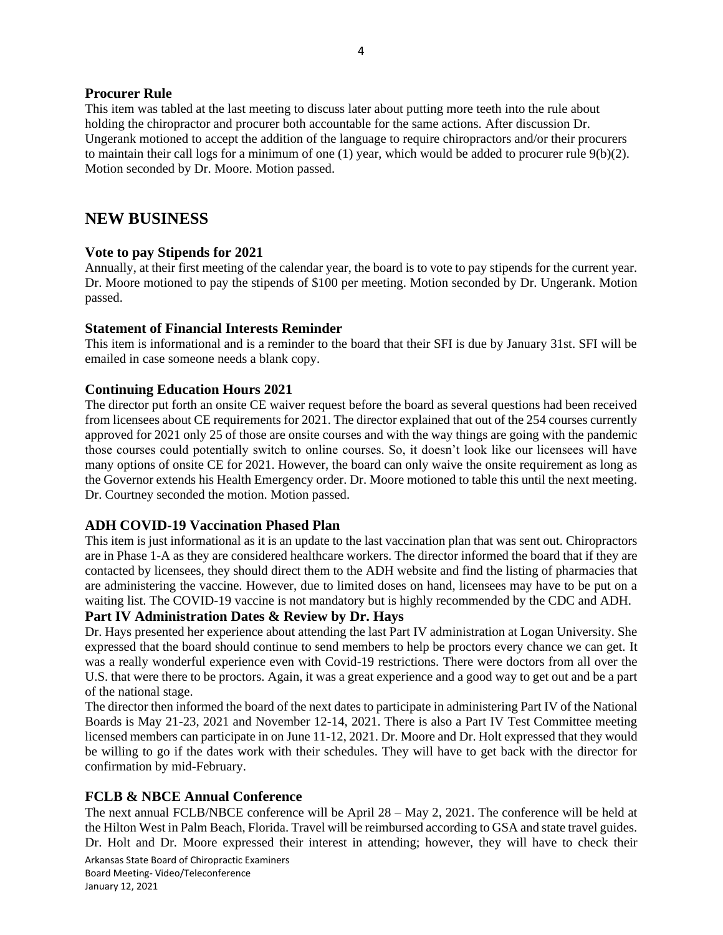### **Procurer Rule**

This item was tabled at the last meeting to discuss later about putting more teeth into the rule about holding the chiropractor and procurer both accountable for the same actions. After discussion Dr. Ungerank motioned to accept the addition of the language to require chiropractors and/or their procurers to maintain their call logs for a minimum of one (1) year, which would be added to procurer rule 9(b)(2). Motion seconded by Dr. Moore. Motion passed.

# **NEW BUSINESS**

## **Vote to pay Stipends for 2021**

Annually, at their first meeting of the calendar year, the board is to vote to pay stipends for the current year. Dr. Moore motioned to pay the stipends of \$100 per meeting. Motion seconded by Dr. Ungerank. Motion passed.

## **Statement of Financial Interests Reminder**

This item is informational and is a reminder to the board that their SFI is due by January 31st. SFI will be emailed in case someone needs a blank copy.

## **Continuing Education Hours 2021**

The director put forth an onsite CE waiver request before the board as several questions had been received from licensees about CE requirements for 2021. The director explained that out of the 254 courses currently approved for 2021 only 25 of those are onsite courses and with the way things are going with the pandemic those courses could potentially switch to online courses. So, it doesn't look like our licensees will have many options of onsite CE for 2021. However, the board can only waive the onsite requirement as long as the Governor extends his Health Emergency order. Dr. Moore motioned to table this until the next meeting. Dr. Courtney seconded the motion. Motion passed.

## **ADH COVID-19 Vaccination Phased Plan**

This item is just informational as it is an update to the last vaccination plan that was sent out. Chiropractors are in Phase 1-A as they are considered healthcare workers. The director informed the board that if they are contacted by licensees, they should direct them to the ADH website and find the listing of pharmacies that are administering the vaccine. However, due to limited doses on hand, licensees may have to be put on a waiting list. The COVID-19 vaccine is not mandatory but is highly recommended by the CDC and ADH.

## **Part IV Administration Dates & Review by Dr. Hays**

Dr. Hays presented her experience about attending the last Part IV administration at Logan University. She expressed that the board should continue to send members to help be proctors every chance we can get. It was a really wonderful experience even with Covid-19 restrictions. There were doctors from all over the U.S. that were there to be proctors. Again, it was a great experience and a good way to get out and be a part of the national stage.

The director then informed the board of the next dates to participate in administering Part IV of the National Boards is May 21-23, 2021 and November 12-14, 2021. There is also a Part IV Test Committee meeting licensed members can participate in on June 11-12, 2021. Dr. Moore and Dr. Holt expressed that they would be willing to go if the dates work with their schedules. They will have to get back with the director for confirmation by mid-February.

# **FCLB & NBCE Annual Conference**

The next annual FCLB/NBCE conference will be April 28 – May 2, 2021. The conference will be held at the Hilton West in Palm Beach, Florida. Travel will be reimbursed according to GSA and state travel guides. Dr. Holt and Dr. Moore expressed their interest in attending; however, they will have to check their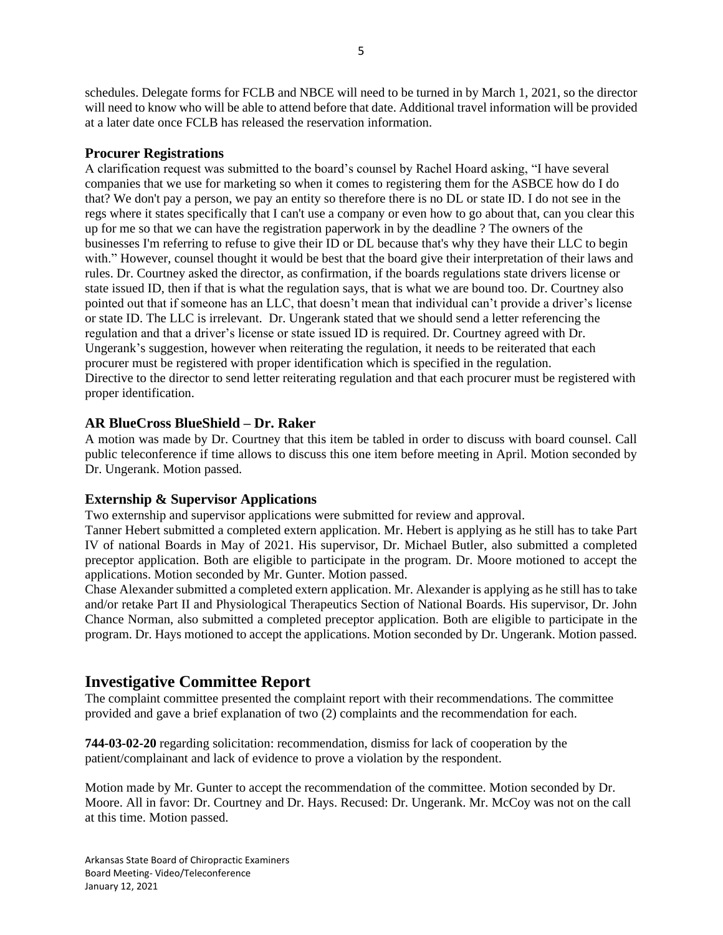schedules. Delegate forms for FCLB and NBCE will need to be turned in by March 1, 2021, so the director will need to know who will be able to attend before that date. Additional travel information will be provided at a later date once FCLB has released the reservation information.

## **Procurer Registrations**

A clarification request was submitted to the board's counsel by Rachel Hoard asking, "I have several companies that we use for marketing so when it comes to registering them for the ASBCE how do I do that? We don't pay a person, we pay an entity so therefore there is no DL or state ID. I do not see in the regs where it states specifically that I can't use a company or even how to go about that, can you clear this up for me so that we can have the registration paperwork in by the deadline ? The owners of the businesses I'm referring to refuse to give their ID or DL because that's why they have their LLC to begin with." However, counsel thought it would be best that the board give their interpretation of their laws and rules. Dr. Courtney asked the director, as confirmation, if the boards regulations state drivers license or state issued ID, then if that is what the regulation says, that is what we are bound too. Dr. Courtney also pointed out that if someone has an LLC, that doesn't mean that individual can't provide a driver's license or state ID. The LLC is irrelevant. Dr. Ungerank stated that we should send a letter referencing the regulation and that a driver's license or state issued ID is required. Dr. Courtney agreed with Dr. Ungerank's suggestion, however when reiterating the regulation, it needs to be reiterated that each procurer must be registered with proper identification which is specified in the regulation. Directive to the director to send letter reiterating regulation and that each procurer must be registered with proper identification.

## **AR BlueCross BlueShield – Dr. Raker**

A motion was made by Dr. Courtney that this item be tabled in order to discuss with board counsel. Call public teleconference if time allows to discuss this one item before meeting in April. Motion seconded by Dr. Ungerank. Motion passed.

### **Externship & Supervisor Applications**

Two externship and supervisor applications were submitted for review and approval.

Tanner Hebert submitted a completed extern application. Mr. Hebert is applying as he still has to take Part IV of national Boards in May of 2021. His supervisor, Dr. Michael Butler, also submitted a completed preceptor application. Both are eligible to participate in the program. Dr. Moore motioned to accept the applications. Motion seconded by Mr. Gunter. Motion passed.

Chase Alexander submitted a completed extern application. Mr. Alexander is applying as he still has to take and/or retake Part II and Physiological Therapeutics Section of National Boards. His supervisor, Dr. John Chance Norman, also submitted a completed preceptor application. Both are eligible to participate in the program. Dr. Hays motioned to accept the applications. Motion seconded by Dr. Ungerank. Motion passed.

# **Investigative Committee Report**

The complaint committee presented the complaint report with their recommendations. The committee provided and gave a brief explanation of two (2) complaints and the recommendation for each.

**744-03-02-20** regarding solicitation: recommendation, dismiss for lack of cooperation by the patient/complainant and lack of evidence to prove a violation by the respondent.

Motion made by Mr. Gunter to accept the recommendation of the committee. Motion seconded by Dr. Moore. All in favor: Dr. Courtney and Dr. Hays. Recused: Dr. Ungerank. Mr. McCoy was not on the call at this time. Motion passed.